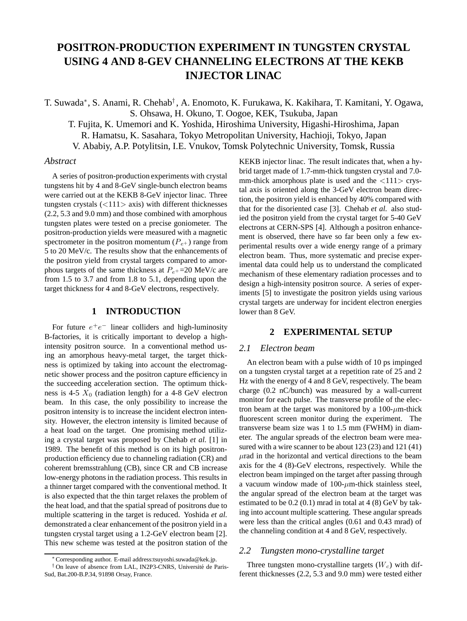# **POSITRON-PRODUCTION EXPERIMENT IN TUNGSTEN CRYSTAL USING 4 AND 8-GEV CHANNELING ELECTRONS AT THE KEKB INJECTOR LINAC**

T. Suwada∗, S. Anami, R. Chehab† , A. Enomoto, K. Furukawa, K. Kakihara, T. Kamitani, Y. Ogawa, S. Ohsawa, H. Okuno, T. Oogoe, KEK, Tsukuba, Japan

T. Fujita, K. Umemori and K. Yoshida, Hiroshima University, Higashi-Hiroshima, Japan R. Hamatsu, K. Sasahara, Tokyo Metropolitan University, Hachioji, Tokyo, Japan V. Ababiy, A.P. Potylitsin, I.E. Vnukov, Tomsk Polytechnic University, Tomsk, Russia

#### *Abstract*

A series of positron-production experiments with crystal tungstens hit by 4 and 8-GeV single-bunch electron beams were carried out at the KEKB 8-GeV injector linac. Three tungsten crystals (*<*111*>* axis) with different thicknesses (2.2, 5.3 and 9.0 mm) and those combined with amorphous tungsten plates were tested on a precise goniometer. The positron-production yields were measured with a magnetic spectrometer in the positron momentum  $(P_{e^+})$  range from 5 to 20 MeV/c. The results show that the enhancements of the positron yield from crystal targets compared to amorphous targets of the same thickness at  $P_{e^+}$ =20 MeV/c are from 1.5 to 3.7 and from 1.8 to 5.1, depending upon the target thickness for 4 and 8-GeV electrons, respectively.

# **1 INTRODUCTION**

For future *e*<sup>+</sup>*e*<sup>−</sup> linear colliders and high-luminosity B-factories, it is critically important to develop a highintensity positron source. In a conventional method using an amorphous heavy-metal target, the target thickness is optimized by taking into account the electromagnetic shower process and the positron capture efficiency in the succeeding acceleration section. The optimum thickness is 4-5  $X_0$  (radiation length) for a 4-8 GeV electron beam. In this case, the only possibility to increase the positron intensity is to increase the incident electron intensity. However, the electron intensity is limited because of a heat load on the target. One promising method utilizing a crystal target was proposed by Chehab *et al.* [1] in 1989. The benefit of this method is on its high positronproduction efficiency due to channeling radiation (CR) and coherent bremsstrahlung (CB), since CR and CB increase low-energy photons in the radiation process. This results in a thinner target compared with the conventional method. It is also expected that the thin target relaxes the problem of the heat load, and that the spatial spread of positrons due to multiple scattering in the target is reduced. Yoshida *et al.* demonstrated a clear enhancement of the positron yield in a tungsten crystal target using a 1.2-GeV electron beam [2]. This new scheme was tested at the positron station of the

KEKB injector linac. The result indicates that, when a hybrid target made of 1.7-mm-thick tungsten crystal and 7.0 mm-thick amorphous plate is used and the  $\langle 111 \rangle$  crystal axis is oriented along the 3-GeV electron beam direction, the positron yield is enhanced by 40% compared with that for the disoriented case [3]. Chehab *et al.* also studied the positron yield from the crystal target for 5-40 GeV electrons at CERN-SPS [4]. Although a positron enhancement is observed, there have so far been only a few experimental results over a wide energy range of a primary electron beam. Thus, more systematic and precise experimental data could help us to understand the complicated mechanism of these elementary radiation processes and to design a high-intensity positron source. A series of experiments [5] to investigate the positron yields using various crystal targets are underway for incident electron energies lower than 8 GeV.

# **2 EXPERIMENTAL SETUP**

# *2.1 Electron beam*

An electron beam with a pulse width of 10 ps impinged on a tungsten crystal target at a repetition rate of 25 and 2 Hz with the energy of 4 and 8 GeV, respectively. The beam charge (0.2 nC/bunch) was measured by a wall-current monitor for each pulse. The transverse profile of the electron beam at the target was monitored by a 100-*µ*m-thick fluorescent screen monitor during the experiment. The transverse beam size was 1 to 1.5 mm (FWHM) in diameter. The angular spreads of the electron beam were measured with a wire scanner to be about 123 (23) and 121 (41) *µ*rad in the horizontal and vertical directions to the beam axis for the 4 (8)-GeV electrons, respectively. While the electron beam impinged on the target after passing through a vacuum window made of  $100$ - $\mu$ m-thick stainless steel, the angular spread of the electron beam at the target was estimated to be  $0.2$   $(0.1)$  mrad in total at  $4$   $(8)$  GeV by taking into account multiple scattering. These angular spreads were less than the critical angles (0.61 and 0.43 mrad) of the channeling condition at 4 and 8 GeV, respectively.

#### *2.2 Tungsten mono-crystalline target*

Three tungsten mono-crystalline targets  $(W_c)$  with different thicknesses (2.2, 5.3 and 9.0 mm) were tested either

<sup>∗</sup>Corresponding author. E-mail address:tsuyoshi.suwada@kek.jp.

 $<sup>†</sup>$  On leave of absence from LAL, IN2P3-CNRS, Université de Paris-</sup> Sud, Bat.200-B.P.34, 91898 Orsay, France.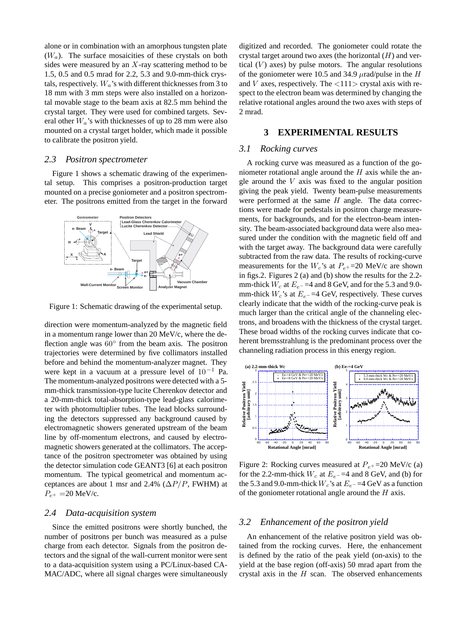alone or in combination with an amorphous tungsten plate (*Wa*). The surface mosaicities of these crystals on both sides were measured by an *X*-ray scattering method to be 1.5, 0.5 and 0.5 mrad for 2.2, 5.3 and 9.0-mm-thick crystals, respectively.  $W_a$ 's with different thicknesses from 3 to 18 mm with 3 mm steps were also installed on a horizontal movable stage to the beam axis at 82.5 mm behind the crystal target. They were used for combined targets. Several other *Wa*'s with thicknesses of up to 28 mm were also mounted on a crystal target holder, which made it possible to calibrate the positron yield.

#### *2.3 Positron spectrometer*

Figure 1 shows a schematic drawing of the experimental setup. This comprises a positron-production target mounted on a precise goniometer and a positron spectrometer. The positrons emitted from the target in the forward



Figure 1: Schematic drawing of the experimental setup.

direction were momentum-analyzed by the magnetic field in a momentum range lower than 20 MeV/c, where the deflection angle was 60◦ from the beam axis. The positron trajectories were determined by five collimators installed before and behind the momentum-analyzer magnet. They were kept in a vacuum at a pressure level of  $10^{-1}$  Pa. The momentum-analyzed positrons were detected with a 5 mm-thick transmission-type lucite Cherenkov detector and a 20-mm-thick total-absorption-type lead-glass calorimeter with photomultiplier tubes. The lead blocks surrounding the detectors suppressed any background caused by electromagnetic showers generated upstream of the beam line by off-momentum electrons, and caused by electromagnetic showers generated at the collimators. The acceptance of the positron spectrometer was obtained by using the detector simulation code GEANT3 [6] at each positron momentum. The typical geometrical and momentum acceptances are about 1 msr and 2.4% ( $\Delta P/P$ , FWHM) at  $P_{e^+} = 20 \text{ MeV/c}.$ 

#### *2.4 Data-acquisition system*

Since the emitted positrons were shortly bunched, the number of positrons per bunch was measured as a pulse charge from each detector. Signals from the positron detectors and the signal of the wall-current monitor were sent to a data-acquisition system using a PC/Linux-based CA-MAC/ADC, where all signal charges were simultaneously digitized and recorded. The goniometer could rotate the crystal target around two axes (the horizontal (*H*) and vertical  $(V)$  axes) by pulse motors. The angular resolutions of the goniometer were 10.5 and 34.9 *µ*rad/pulse in the *H* and *V* axes, respectively. The *<*111*>* crystal axis with respect to the electron beam was determined by changing the relative rotational angles around the two axes with steps of 2 mrad.

#### **3 EXPERIMENTAL RESULTS**

#### *3.1 Rocking curves*

A rocking curve was measured as a function of the goniometer rotational angle around the *H* axis while the angle around the *V* axis was fixed to the angular position giving the peak yield. Twenty beam-pulse measurements were performed at the same *H* angle. The data corrections were made for pedestals in positron charge measurements, for backgrounds, and for the electron-beam intensity. The beam-associated background data were also measured under the condition with the magnetic field off and with the target away. The background data were carefully subtracted from the raw data. The results of rocking-curve measurements for the  $W_c$ 's at  $P_{e^+}$ =20 MeV/c are shown in figs.2. Figures 2 (a) and (b) show the results for the 2.2 mm-thick  $W_c$  at  $E_e$ −=4 and 8 GeV, and for the 5.3 and 9.0mm-thick  $W_c$ 's at  $E_e$ −=4 GeV, respectively. These curves clearly indicate that the width of the rocking-curve peak is much larger than the critical angle of the channeling electrons, and broadens with the thickness of the crystal target. These broad widths of the rocking curves indicate that coherent bremsstrahlung is the predominant process over the channeling radiation process in this energy region.



Figure 2: Rocking curves measured at *Pe*<sup>+</sup> =20 MeV/c (a) for the 2.2-mm-thick  $W_c$  at  $E_e$ −=4 and 8 GeV, and (b) for the 5.3 and 9.0-mm-thick  $W_c$ 's at  $E_e$ <sup>−</sup> =4 GeV as a function of the goniometer rotational angle around the *H* axis.

# *3.2 Enhancement of the positron yield*

An enhancement of the relative positron yield was obtained from the rocking curves. Here, the enhancement is defined by the ratio of the peak yield (on-axis) to the yield at the base region (off-axis) 50 mrad apart from the crystal axis in the *H* scan. The observed enhancements